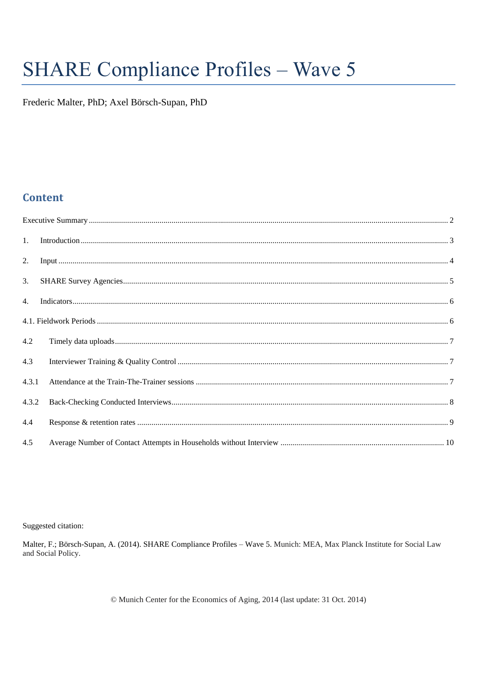# **SHARE Compliance Profiles - Wave 5**

Frederic Malter, PhD; Axel Börsch-Supan, PhD

# **Content**

| 1.    |  |
|-------|--|
| 2.    |  |
| 3.    |  |
|       |  |
|       |  |
| 4.2   |  |
| 4.3   |  |
| 4.3.1 |  |
| 4.3.2 |  |
| 4.4   |  |
| 4.5   |  |

Suggested citation:

Malter, F.; Börsch-Supan, A. (2014). SHARE Compliance Profiles - Wave 5. Munich: MEA, Max Planck Institute for Social Law and Social Policy.

© Munich Center for the Economics of Aging, 2014 (last update: 31 Oct. 2014)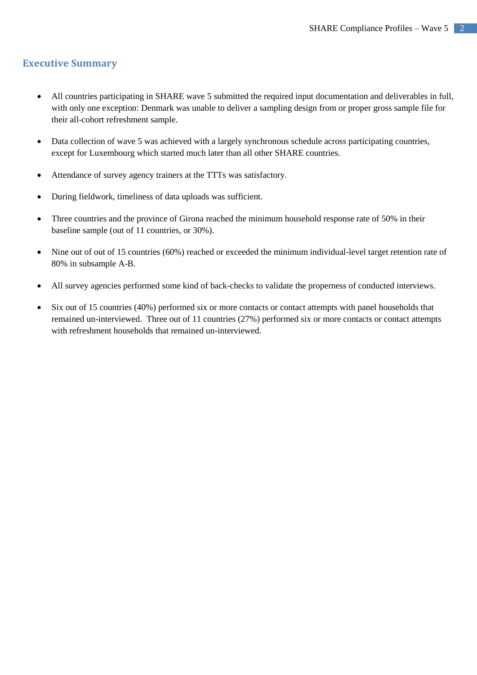# <span id="page-1-0"></span>**Executive Summary**

- All countries participating in SHARE wave 5 submitted the required input documentation and deliverables in full, with only one exception: Denmark was unable to deliver a sampling design from or proper gross sample file for their all-cohort refreshment sample.
- Data collection of wave 5 was achieved with a largely synchronous schedule across participating countries, except for Luxembourg which started much later than all other SHARE countries.
- Attendance of survey agency trainers at the TTTs was satisfactory.
- During fieldwork, timeliness of data uploads was sufficient.
- Three countries and the province of Girona reached the minimum household response rate of 50% in their baseline sample (out of 11 countries, or 30%).
- Nine out of out of 15 countries (60%) reached or exceeded the minimum individual-level target retention rate of 80% in subsample A-B.
- All survey agencies performed some kind of back-checks to validate the properness of conducted interviews.
- Six out of 15 countries (40%) performed six or more contacts or contact attempts with panel households that remained un-interviewed. Three out of 11 countries (27%) performed six or more contacts or contact attempts with refreshment households that remained un-interviewed.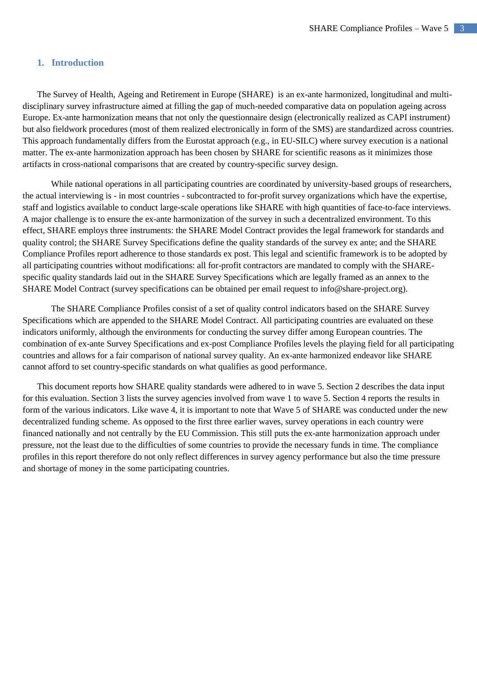## <span id="page-2-0"></span>**1. Introduction**

The Survey of Health, Ageing and Retirement in Europe (SHARE) is an ex-ante harmonized, longitudinal and multidisciplinary survey infrastructure aimed at filling the gap of much-needed comparative data on population ageing across Europe. Ex-ante harmonization means that not only the questionnaire design (electronically realized as CAPI instrument) but also fieldwork procedures (most of them realized electronically in form of the SMS) are standardized across countries. This approach fundamentally differs from the Eurostat approach (e.g., in EU-SILC) where survey execution is a national matter. The ex-ante harmonization approach has been chosen by SHARE for scientific reasons as it minimizes those artifacts in cross-national comparisons that are created by country-specific survey design.

While national operations in all participating countries are coordinated by university-based groups of researchers, the actual interviewing is - in most countries - subcontracted to for-profit survey organizations which have the expertise, staff and logistics available to conduct large-scale operations like SHARE with high quantities of face-to-face interviews. A major challenge is to ensure the ex-ante harmonization of the survey in such a decentralized environment. To this effect, SHARE employs three instruments: the SHARE Model Contract provides the legal framework for standards and quality control; the SHARE Survey Specifications define the quality standards of the survey ex ante; and the SHARE Compliance Profiles report adherence to those standards ex post. This legal and scientific framework is to be adopted by all participating countries without modifications: all for-profit contractors are mandated to comply with the SHAREspecific quality standards laid out in the SHARE Survey Specifications which are legally framed as an annex to the SHARE Model Contract (survey specifications can be obtained per email request to info@share-project.org).

The SHARE Compliance Profiles consist of a set of quality control indicators based on the SHARE Survey Specifications which are appended to the SHARE Model Contract. All participating countries are evaluated on these indicators uniformly, although the environments for conducting the survey differ among European countries. The combination of ex-ante Survey Specifications and ex-post Compliance Profiles levels the playing field for all participating countries and allows for a fair comparison of national survey quality. An ex-ante harmonized endeavor like SHARE cannot afford to set country-specific standards on what qualifies as good performance.

This document reports how SHARE quality standards were adhered to in wave 5. Section 2 describes the data input for this evaluation. Section 3 lists the survey agencies involved from wave 1 to wave 5. Section 4 reports the results in form of the various indicators. Like wave 4, it is important to note that Wave 5 of SHARE was conducted under the new decentralized funding scheme. As opposed to the first three earlier waves, survey operations in each country were financed nationally and not centrally by the EU Commission. This still puts the ex-ante harmonization approach under pressure, not the least due to the difficulties of some countries to provide the necessary funds in time. The compliance profiles in this report therefore do not only reflect differences in survey agency performance but also the time pressure and shortage of money in the some participating countries.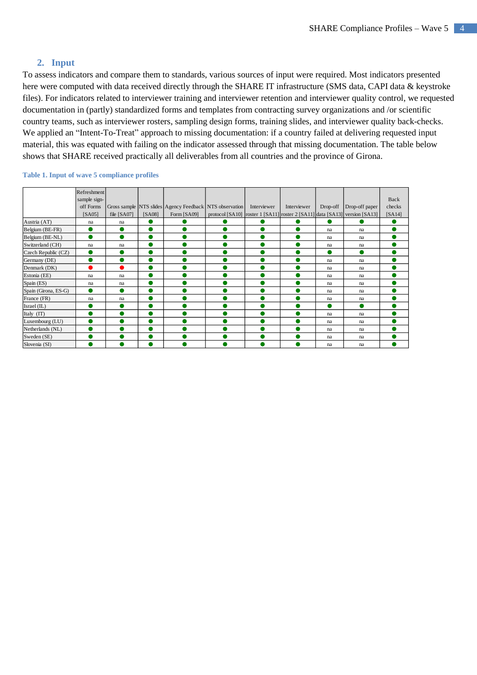# **2. Input**

<span id="page-3-0"></span>To assess indicators and compare them to standards, various sources of input were required. Most indicators presented here were computed with data received directly through the SHARE IT infrastructure (SMS data, CAPI data & keystroke files). For indicators related to interviewer training and interviewer retention and interviewer quality control, we requested documentation in (partly) standardized forms and templates from contracting survey organizations and /or scientific country teams, such as interviewer rosters, sampling design forms, training slides, and interviewer quality back-checks. We applied an "Intent-To-Treat" approach to missing documentation: if a country failed at delivering requested input material, this was equated with failing on the indicator assessed through that missing documentation. The table below shows that SHARE received practically all deliverables from all countries and the province of Girona.

|                      | Refreshment  |             |        |                                                         |                                                                            |             |             |           |                |        |
|----------------------|--------------|-------------|--------|---------------------------------------------------------|----------------------------------------------------------------------------|-------------|-------------|-----------|----------------|--------|
|                      | sample sign- |             |        |                                                         |                                                                            |             |             |           |                | Back   |
|                      | off Forms    |             |        | Gross sample NTS slides Agency Feedback NTS observation |                                                                            | Interviewer | Interviewer | Drop-off  | Drop-off paper | checks |
|                      | [SA05]       | file [SA07] | [SA08] | Form [SA09]                                             | protocol [SA10] roster 1 [SA11] roster 2 [SA11] data [SA13] version [SA13] |             |             |           |                | [SA14] |
| Austria (AT)         | na           | na          |        |                                                         |                                                                            |             |             |           |                |        |
| Belgium (BE-FR)      |              |             |        |                                                         |                                                                            |             |             | na        | na             |        |
| Belgium (BE-NL)      |              |             |        |                                                         |                                                                            |             |             | na        | na             |        |
| Switzerland (CH)     | na           | na          |        |                                                         |                                                                            |             |             | na        | na             |        |
| Czech Republic (CZ)  |              |             |        |                                                         |                                                                            |             |             |           | ●              |        |
| Germany (DE)         |              |             |        |                                                         |                                                                            |             |             | na        | na             |        |
| Denmark (DK)         |              |             |        |                                                         |                                                                            |             |             | na        | na             |        |
| Estonia (EE)         | na           | na          |        |                                                         |                                                                            |             |             | na        | na             |        |
| Spain (ES)           | na           | na          |        |                                                         |                                                                            |             |             | na        | na             |        |
| Spain (Girona, ES-G) |              |             |        |                                                         |                                                                            |             |             | na        | na             |        |
| France (FR)          | na           | na          |        |                                                         |                                                                            |             |             | na        | na             |        |
| Israel (IL)          |              |             |        |                                                         |                                                                            |             |             | $\bullet$ | $\bullet$      |        |
| Italy (IT)           |              |             |        |                                                         |                                                                            |             |             | na        | na             |        |
| Luxembourg (LU)      |              |             |        |                                                         |                                                                            |             |             | na        | na             |        |
| Netherlands (NL)     |              |             |        |                                                         |                                                                            |             |             | na        | na             |        |
| Sweden (SE)          |              |             |        |                                                         |                                                                            |             |             | na        | na             |        |
| Slovenia (SI)        |              |             |        |                                                         |                                                                            |             |             | na        | na             |        |

#### **Table 1. Input of wave 5 compliance profiles**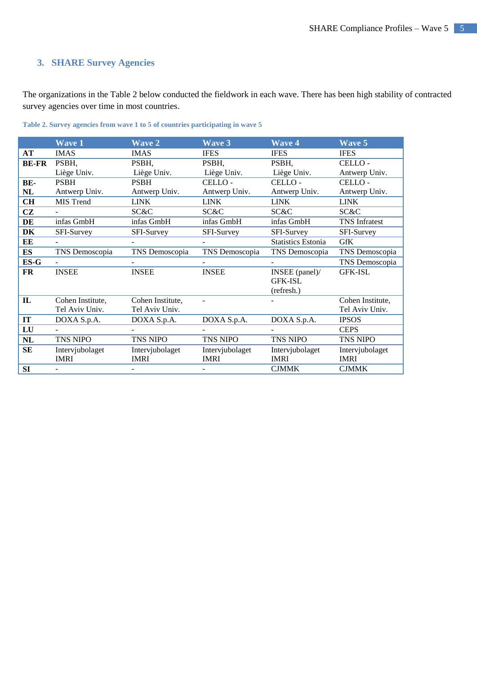# <span id="page-4-0"></span>**3. SHARE Survey Agencies**

The organizations in the Table 2 below conducted the fieldwork in each wave. There has been high stability of contracted survey agencies over time in most countries.

|              | <b>Wave 1</b>            | <b>Wave 2</b>    | <b>Wave 3</b>   | <b>Wave 4</b>             | <b>Wave 5</b>        |
|--------------|--------------------------|------------------|-----------------|---------------------------|----------------------|
| AT           | <b>IMAS</b>              | <b>IMAS</b>      | <b>IFES</b>     | <b>IFES</b>               | <b>IFES</b>          |
| <b>BE-FR</b> | PSBH,                    | PSBH,            | PSBH,           | PSBH,                     | CELLO-               |
|              | Liège Univ.              | Liège Univ.      | Liège Univ.     | Liège Univ.               | Antwerp Univ.        |
| BE-          | <b>PSBH</b>              | <b>PSBH</b>      | CELLO-          | CELLO-                    | CELLO-               |
| NL           | Antwerp Univ.            | Antwerp Univ.    | Antwerp Univ.   | Antwerp Univ.             | Antwerp Univ.        |
| CH           | MIS Trend                | <b>LINK</b>      | <b>LINK</b>     | <b>LINK</b>               | <b>LINK</b>          |
| <b>CZ</b>    |                          | SC&C             | SC&C            | SC&C                      | SC&C                 |
| DE           | infas GmbH               | infas GmbH       | infas GmbH      | infas GmbH                | <b>TNS</b> Infratest |
| DK           | SFI-Survey               | SFI-Survey       | SFI-Survey      | SFI-Survey                | SFI-Survey           |
| EЕ           |                          | $\sim$           | $\sim$          | <b>Statistics Estonia</b> | <b>GfK</b>           |
| <b>ES</b>    | TNS Demoscopia           | TNS Demoscopia   | TNS Demoscopia  | TNS Demoscopia            | TNS Demoscopia       |
| ES-G         |                          | $\blacksquare$   | $\sim$          | $\equiv$                  | TNS Demoscopia       |
| FR           | <b>INSEE</b>             | <b>INSEE</b>     | <b>INSEE</b>    | INSEE $(panel)$ /         | <b>GFK-ISL</b>       |
|              |                          |                  |                 | <b>GFK-ISL</b>            |                      |
|              |                          |                  |                 | (refresh.)                |                      |
| $\mathbf{L}$ | Cohen Institute,         | Cohen Institute, |                 |                           | Cohen Institute,     |
|              | Tel Aviv Univ.           | Tel Aviv Univ.   |                 |                           | Tel Aviv Univ.       |
| IT           | DOXA S.p.A.              | DOXA S.p.A.      | DOXA S.p.A.     | DOXA S.p.A.               | <b>IPSOS</b>         |
| LU           |                          |                  |                 |                           | <b>CEPS</b>          |
| NL           | <b>TNS NIPO</b>          | TNS NIPO         | TNS NIPO        | <b>TNS NIPO</b>           | <b>TNS NIPO</b>      |
| <b>SE</b>    | Intervjubolaget          | Intervjubolaget  | Intervjubolaget | Intervjubolaget           | Intervjubolaget      |
|              | <b>IMRI</b>              | <b>IMRI</b>      | <b>IMRI</b>     | <b>IMRI</b>               | <b>IMRI</b>          |
| SI           | $\overline{\phantom{0}}$ |                  |                 | <b>CJMMK</b>              | <b>CJMMK</b>         |

**Table 2. Survey agencies from wave 1 to 5 of countries participating in wave 5**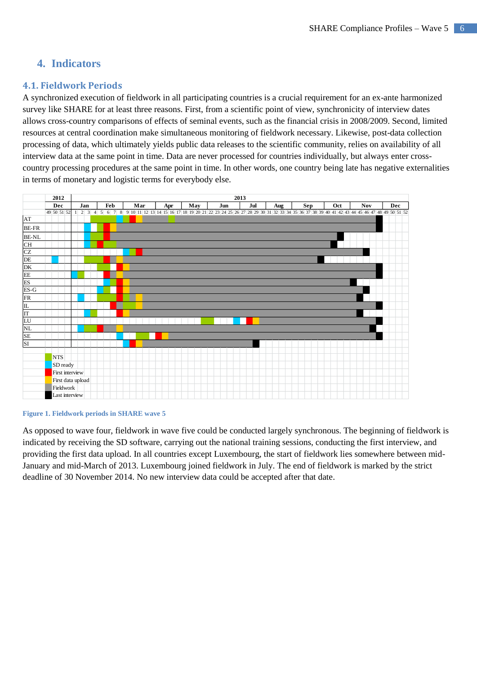# <span id="page-5-0"></span>**4. Indicators**

# <span id="page-5-1"></span>**4.1. Fieldwork Periods**

A synchronized execution of fieldwork in all participating countries is a crucial requirement for an ex-ante harmonized survey like SHARE for at least three reasons. First, from a scientific point of view, synchronicity of interview dates allows cross-country comparisons of effects of seminal events, such as the financial crisis in 2008/2009. Second, limited resources at central coordination make simultaneous monitoring of fieldwork necessary. Likewise, post-data collection processing of data, which ultimately yields public data releases to the scientific community, relies on availability of all interview data at the same point in time. Data are never processed for countries individually, but always enter crosscountry processing procedures at the same point in time. In other words, one country being late has negative externalities in terms of monetary and logistic terms for everybody else.



#### **Figure 1. Fieldwork periods in SHARE wave 5**

As opposed to wave four, fieldwork in wave five could be conducted largely synchronous. The beginning of fieldwork is indicated by receiving the SD software, carrying out the national training sessions, conducting the first interview, and providing the first data upload. In all countries except Luxembourg, the start of fieldwork lies somewhere between mid-January and mid-March of 2013. Luxembourg joined fieldwork in July. The end of fieldwork is marked by the strict deadline of 30 November 2014. No new interview data could be accepted after that date.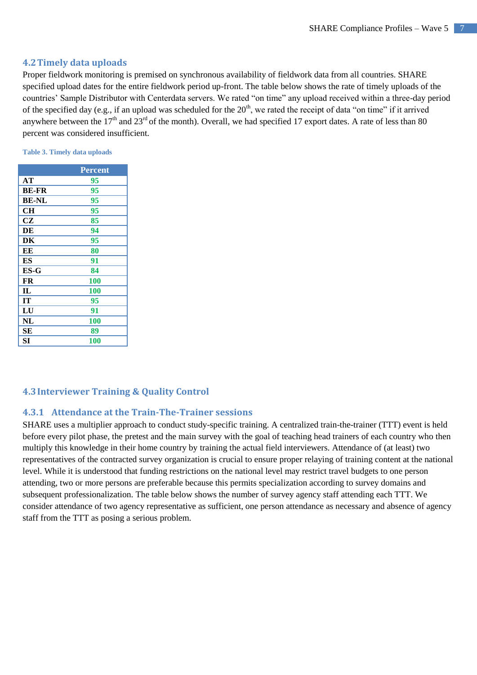## <span id="page-6-0"></span>**4.2Timely data uploads**

Proper fieldwork monitoring is premised on synchronous availability of fieldwork data from all countries. SHARE specified upload dates for the entire fieldwork period up-front. The table below shows the rate of timely uploads of the countries' Sample Distributor with Centerdata servers. We rated "on time" any upload received within a three-day period of the specified day (e.g., if an upload was scheduled for the  $20<sup>th</sup>$ , we rated the receipt of data "on time" if it arrived anywhere between the  $17<sup>th</sup>$  and  $23<sup>rd</sup>$  of the month). Overall, we had specified 17 export dates. A rate of less than 80 percent was considered insufficient.

**Table 3. Timely data uploads**

|              | <b>Percent</b> |
|--------------|----------------|
| AT           | 95             |
| <b>BE-FR</b> | 95             |
| <b>BE-NL</b> | 95             |
| CН           | 95             |
| CZ           | 85             |
| DE           | 94             |
| DK           | 95             |
| EE           | 80             |
| ES           | 91             |
| $ES-G$       | 84             |
| FR           | 100            |
| IL           | 100            |
| IТ           | 95             |
| LU           | 91             |
| NL           | 100            |
| SЕ           | 89             |
| SІ           | <b>100</b>     |

# <span id="page-6-1"></span>**4.3Interviewer Training & Quality Control**

### <span id="page-6-2"></span>**4.3.1 Attendance at the Train-The-Trainer sessions**

SHARE uses a multiplier approach to conduct study-specific training. A centralized train-the-trainer (TTT) event is held before every pilot phase, the pretest and the main survey with the goal of teaching head trainers of each country who then multiply this knowledge in their home country by training the actual field interviewers. Attendance of (at least) two representatives of the contracted survey organization is crucial to ensure proper relaying of training content at the national level. While it is understood that funding restrictions on the national level may restrict travel budgets to one person attending, two or more persons are preferable because this permits specialization according to survey domains and subsequent professionalization. The table below shows the number of survey agency staff attending each TTT. We consider attendance of two agency representative as sufficient, one person attendance as necessary and absence of agency staff from the TTT as posing a serious problem.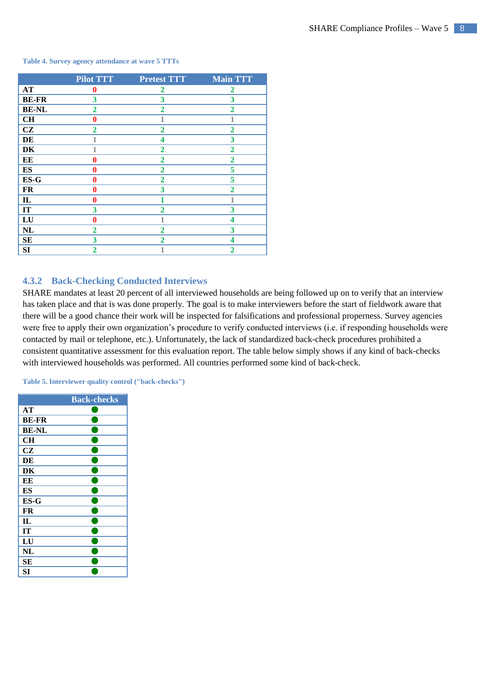#### **Table 4. Survey agency attendance at wave 5 TTTs**

|              | <b>Pilot TTT</b> | <b>Pretest TTT</b> | <b>Main TTT</b> |
|--------------|------------------|--------------------|-----------------|
| AT           | $\bf{0}$         | 2                  | $\mathbf{2}$    |
| <b>BE-FR</b> | 3                | 3                  | 3               |
| <b>BE-NL</b> | $\overline{2}$   | $\mathbf{2}$       | $\overline{2}$  |
| CH           | $\bf{0}$         | 1                  | 1               |
| CZ           | $\overline{2}$   | $\overline{2}$     | $\overline{2}$  |
| DE           | 1                | 4                  | 3               |
| DK           | 1                | $\mathbf{2}$       | $\overline{2}$  |
| EE           | $\bf{0}$         | $\overline{2}$     | $\overline{2}$  |
| ES           | $\bf{0}$         | $\overline{2}$     | 5               |
| ES-G         | $\bf{0}$         | $\overline{2}$     | 5               |
| <b>FR</b>    | $\bf{0}$         | 3                  | $\overline{2}$  |
| $\mathbf{L}$ | $\bf{0}$         |                    | 1               |
| IT           | $\mathbf{3}$     | $\overline{2}$     | 3               |
| LU           | $\bf{0}$         | 1                  | 4               |
| NL           | $\overline{2}$   | $\mathbf{2}$       | 3               |
| <b>SE</b>    | 3                | $\mathbf{2}$       | 4               |
| SI           | $\overline{2}$   | 1                  | $\overline{2}$  |

# <span id="page-7-0"></span>**4.3.2 Back-Checking Conducted Interviews**

SHARE mandates at least 20 percent of all interviewed households are being followed up on to verify that an interview has taken place and that is was done properly. The goal is to make interviewers before the start of fieldwork aware that there will be a good chance their work will be inspected for falsifications and professional properness. Survey agencies were free to apply their own organization's procedure to verify conducted interviews (i.e. if responding households were contacted by mail or telephone, etc.). Unfortunately, the lack of standardized back-check procedures prohibited a consistent quantitative assessment for this evaluation report. The table below simply shows if any kind of back-checks with interviewed households was performed. All countries performed some kind of back-check.

**Table 5. Interviewer quality control ("back-checks")**

|              | <b>Back-checks</b> |
|--------------|--------------------|
| AT           |                    |
| <b>BE-FR</b> |                    |
| <b>BE-NL</b> |                    |
| <b>CH</b>    |                    |
| CZ           |                    |
| DE           |                    |
| DK           |                    |
| EE           |                    |
| ES           |                    |
| ES-G         |                    |
| FR           |                    |
| IL           |                    |
| IT           |                    |
| LU           |                    |
| NL           |                    |
| SЕ           |                    |
| SI           |                    |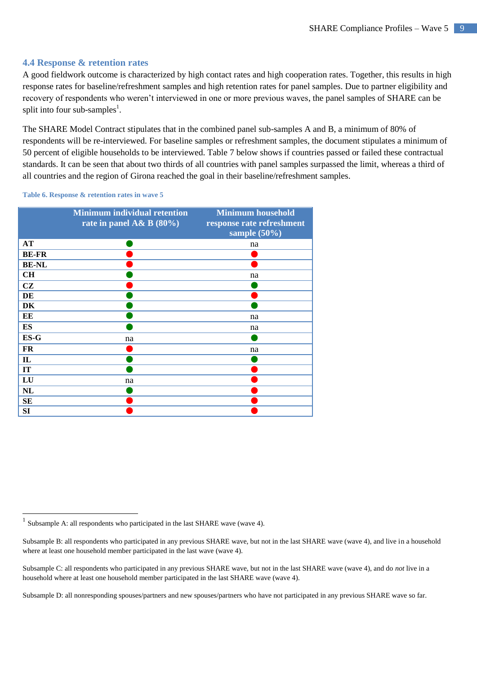## <span id="page-8-0"></span>**4.4 Response & retention rates**

A good fieldwork outcome is characterized by high contact rates and high cooperation rates. Together, this results in high response rates for baseline/refreshment samples and high retention rates for panel samples. Due to partner eligibility and recovery of respondents who weren't interviewed in one or more previous waves, the panel samples of SHARE can be split into four sub-samples<sup>1</sup>.

The SHARE Model Contract stipulates that in the combined panel sub-samples A and B, a minimum of 80% of respondents will be re-interviewed. For baseline samples or refreshment samples, the document stipulates a minimum of 50 percent of eligible households to be interviewed. Table 7 below shows if countries passed or failed these contractual standards. It can be seen that about two thirds of all countries with panel samples surpassed the limit, whereas a third of all countries and the region of Girona reached the goal in their baseline/refreshment samples.

**Table 6. Response & retention rates in wave 5**

|              | <b>Minimum individual retention</b><br>rate in panel A& B $(80\%)$ | <b>Minimum household</b><br>response rate refreshment<br>sample $(50\%)$ |
|--------------|--------------------------------------------------------------------|--------------------------------------------------------------------------|
| AT           |                                                                    | na                                                                       |
| <b>BE-FR</b> |                                                                    |                                                                          |
| <b>BE-NL</b> |                                                                    |                                                                          |
| CH           |                                                                    | na                                                                       |
| CZ           |                                                                    |                                                                          |
| DE           |                                                                    |                                                                          |
| DK           |                                                                    |                                                                          |
| EE           |                                                                    | na                                                                       |
| ES           |                                                                    | na                                                                       |
| $ES-G$       | na                                                                 |                                                                          |
| FR           |                                                                    | na                                                                       |
| $\mathbf{L}$ |                                                                    |                                                                          |
| IT           |                                                                    |                                                                          |
| LU           | na                                                                 |                                                                          |
| <b>NL</b>    |                                                                    |                                                                          |
| <b>SE</b>    |                                                                    |                                                                          |
| SI           |                                                                    |                                                                          |

Subsample D: all nonresponding spouses/partners and new spouses/partners who have not participated in any previous SHARE wave so far.

 $\frac{1}{1}$ Subsample A: all respondents who participated in the last SHARE wave (wave 4).

Subsample B: all respondents who participated in any previous SHARE wave, but not in the last SHARE wave (wave 4), and live in a household where at least one household member participated in the last wave (wave 4).

Subsample C: all respondents who participated in any previous SHARE wave, but not in the last SHARE wave (wave 4), and do *not* live in a household where at least one household member participated in the last SHARE wave (wave 4).